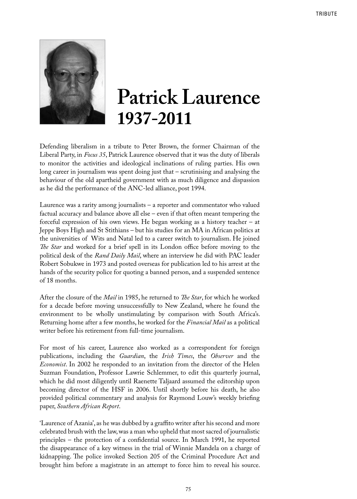

## **Patrick Laurence 1937-2011**

Defending liberalism in a tribute to Peter Brown, the former Chairman of the Liberal Party, in *Focus 35*, Patrick Laurence observed that it was the duty of liberals to monitor the activities and ideological inclinations of ruling parties. His own long career in journalism was spent doing just that – scrutinising and analysing the behaviour of the old apartheid government with as much diligence and dispassion as he did the performance of the ANC-led alliance, post 1994.

Laurence was a rarity among journalists – a reporter and commentator who valued factual accuracy and balance above all else – even if that often meant tempering the forceful expression of his own views. He began working as a history teacher – at Jeppe Boys High and St Stithians – but his studies for an MA in African politics at the universities of Wits and Natal led to a career switch to journalism. He joined *The Star* and worked for a brief spell in its London office before moving to the political desk of the *Rand Daily Mail*, where an interview he did with PAC leader Robert Sobukwe in 1973 and posted overseas for publication led to his arrest at the hands of the security police for quoting a banned person, and a suspended sentence of 18 months.

After the closure of the *Mail* in 1985, he returned to *The Star*, for which he worked for a decade before moving unsuccessfully to New Zealand, where he found the environment to be wholly unstimulating by comparison with South Africa's. Returning home after a few months, he worked for the *Financial Mail* as a political writer before his retirement from full-time journalism.

For most of his career, Laurence also worked as a correspondent for foreign publications, including the *Guardian*, the *Irish Times*, the *Observer* and the *Economist*. In 2002 he responded to an invitation from the director of the Helen Suzman Foundation, Professor Lawrie Schlemmer, to edit this quarterly journal, which he did most diligently until Raenette Taljaard assumed the editorship upon becoming director of the HSF in 2006. Until shortly before his death, he also provided political commentary and analysis for Raymond Louw's weekly briefing paper, *Southern African Report*.

'Laurence of Azania', as he was dubbed by a graffito writer after his second and more celebrated brush with the law, was a man who upheld that most sacred of journalistic principles – the protection of a confidential source. In March 1991, he reported the disappearance of a key witness in the trial of Winnie Mandela on a charge of kidnapping. The police invoked Section 205 of the Criminal Procedure Act and brought him before a magistrate in an attempt to force him to reveal his source.